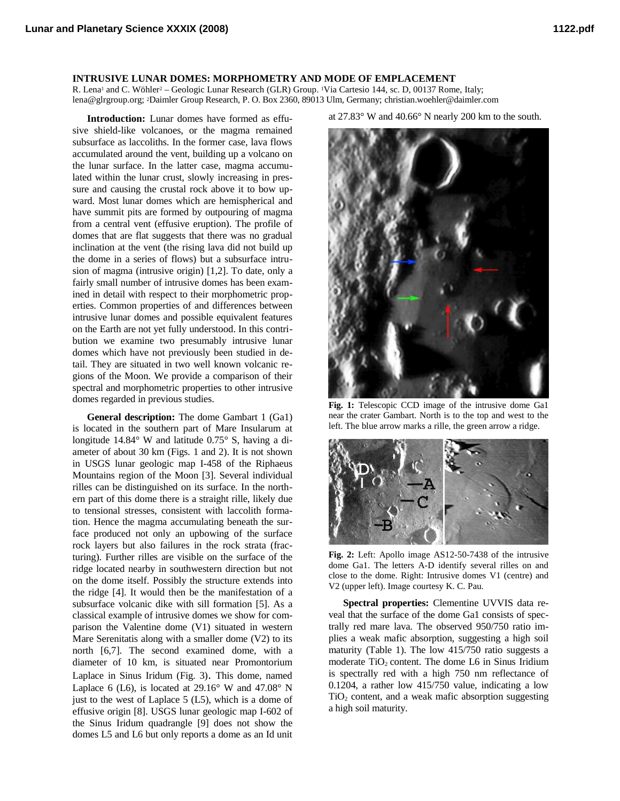## **INTRUSIVE LUNAR DOMES: MORPHOMETRY AND MODE OF EMPLACEMENT**

R. Lena<sup>1</sup> and C. Wöhler<sup>2</sup> – Geologic Lunar Research (GLR) Group. <sup>1</sup>Via Cartesio 144, sc. D, 00137 Rome, Italy; lena@glrgroup.org; <sup>2</sup>Daimler Group Research, P. O. Box 2360, 89013 Ulm, Germany; christian.woehler@daimler.com

**Introduction:** Lunar domes have formed as effusive shield-like volcanoes, or the magma remained subsurface as laccoliths. In the former case, lava flows accumulated around the vent, building up a volcano on the lunar surface. In the latter case, magma accumulated within the lunar crust, slowly increasing in pressure and causing the crustal rock above it to bow upward. Most lunar domes which are hemispherical and have summit pits are formed by outpouring of magma from a central vent (effusive eruption). The profile of domes that are flat suggests that there was no gradual inclination at the vent (the rising lava did not build up the dome in a series of flows) but a subsurface intrusion of magma (intrusive origin) [1,2]. To date, only a fairly small number of intrusive domes has been examined in detail with respect to their morphometric properties. Common properties of and differences between intrusive lunar domes and possible equivalent features on the Earth are not yet fully understood. In this contribution we examine two presumably intrusive lunar domes which have not previously been studied in detail. They are situated in two well known volcanic regions of the Moon. We provide a comparison of their spectral and morphometric properties to other intrusive domes regarded in previous studies.

**General description:** The dome Gambart 1 (Ga1) is located in the southern part of Mare Insularum at longitude 14.84° W and latitude 0.75° S, having a diameter of about 30 km (Figs. 1 and 2). It is not shown in USGS lunar geologic map I-458 of the Riphaeus Mountains region of the Moon [3]. Several individual rilles can be distinguished on its surface. In the northern part of this dome there is a straight rille, likely due to tensional stresses, consistent with laccolith formation. Hence the magma accumulating beneath the surface produced not only an upbowing of the surface rock layers but also failures in the rock strata (fracturing). Further rilles are visible on the surface of the ridge located nearby in southwestern direction but not on the dome itself. Possibly the structure extends into the ridge [4]. It would then be the manifestation of a subsurface volcanic dike with sill formation [5]. As a classical example of intrusive domes we show for comparison the Valentine dome (V1) situated in western Mare Serenitatis along with a smaller dome (V2) to its north [6,7]. The second examined dome, with a diameter of 10 km, is situated near Promontorium Laplace in Sinus Iridum (Fig. 3). This dome, named Laplace 6 (L6), is located at  $29.16^{\circ}$  W and  $47.08^{\circ}$  N just to the west of Laplace 5 (L5), which is a dome of effusive origin [8]. USGS lunar geologic map I-602 of the Sinus Iridum quadrangle [9] does not show the domes L5 and L6 but only reports a dome as an Id unit

at 27.83° W and 40.66° N nearly 200 km to the south.



**Fig. 1:** Telescopic CCD image of the intrusive dome Ga1 near the crater Gambart. North is to the top and west to the left. The blue arrow marks a rille, the green arrow a ridge.



**Fig. 2:** Left: Apollo image AS12-50-7438 of the intrusive dome Ga1. The letters A-D identify several rilles on and close to the dome. Right: Intrusive domes V1 (centre) and V2 (upper left). Image courtesy K. C. Pau.

**Spectral properties:** Clementine UVVIS data reveal that the surface of the dome Ga1 consists of spectrally red mare lava. The observed 950/750 ratio implies a weak mafic absorption, suggesting a high soil maturity (Table 1). The low 415/750 ratio suggests a moderate  $TiO<sub>2</sub>$  content. The dome L6 in Sinus Iridium is spectrally red with a high 750 nm reflectance of 0.1204, a rather low 415/750 value, indicating a low  $TiO<sub>2</sub>$  content, and a weak mafic absorption suggesting a high soil maturity.